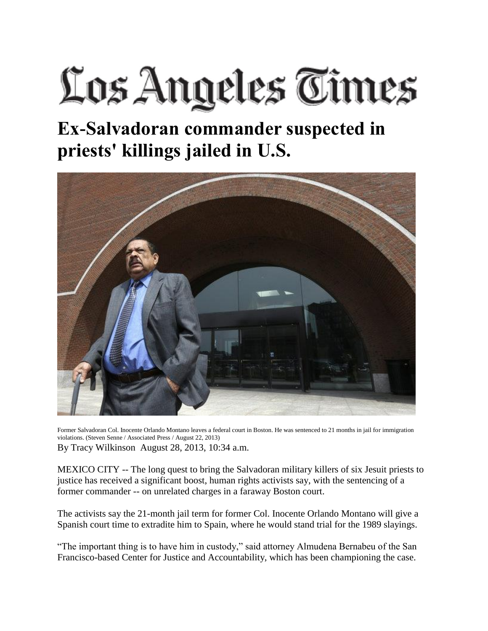## Los Angeles Times

## **Ex-Salvadoran commander suspected in priests' killings jailed in U.S.**



Former Salvadoran Col. Inocente Orlando Montano leaves a federal court in Boston. He was sentenced to 21 months in jail for immigration violations. (Steven Senne / Associated Press / August 22, 2013) By Tracy Wilkinson August 28, 2013, 10:34 a.m.

MEXICO CITY -- The long quest to bring the Salvadoran military killers of six Jesuit priests to justice has received a significant boost, human rights activists say, with the sentencing of a former commander -- on unrelated charges in a faraway Boston court.

The activists say the 21-month jail term for former Col. Inocente Orlando Montano will give a Spanish court time to extradite him to Spain, where he would stand trial for the 1989 slayings.

"The important thing is to have him in custody," said attorney Almudena Bernabeu of the San Francisco-based Center for Justice and Accountability, which has been championing the case.